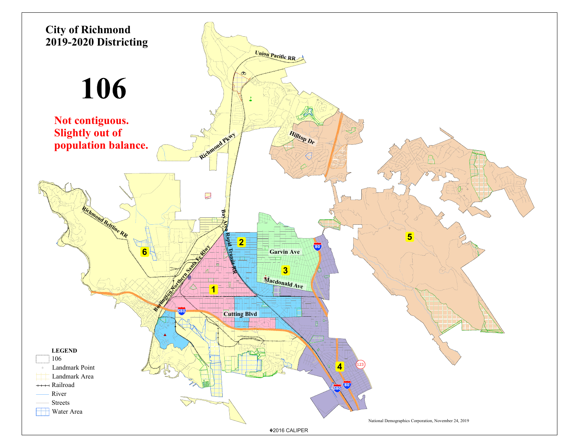